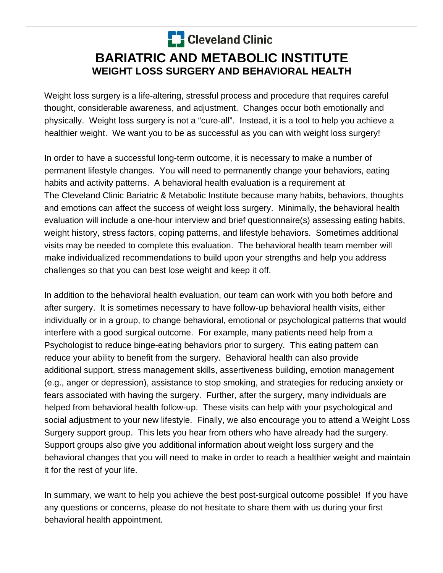## **C** Cleveland Clinic **BARIATRIC AND METABOLIC INSTITUTE WEIGHT LOSS SURGERY AND BEHAVIORAL HEALTH**

Weight loss surgery is a life-altering, stressful process and procedure that requires careful thought, considerable awareness, and adjustment. Changes occur both emotionally and physically. Weight loss surgery is not a "cure-all". Instead, it is a tool to help you achieve a healthier weight. We want you to be as successful as you can with weight loss surgery!

In order to have a successful long-term outcome, it is necessary to make a number of permanent lifestyle changes. You will need to permanently change your behaviors, eating habits and activity patterns. A behavioral health evaluation is a requirement at The Cleveland Clinic Bariatric & Metabolic Institute because many habits, behaviors, thoughts and emotions can affect the success of weight loss surgery. Minimally, the behavioral health evaluation will include a one-hour interview and brief questionnaire(s) assessing eating habits, weight history, stress factors, coping patterns, and lifestyle behaviors. Sometimes additional visits may be needed to complete this evaluation. The behavioral health team member will make individualized recommendations to build upon your strengths and help you address challenges so that you can best lose weight and keep it off.

In addition to the behavioral health evaluation, our team can work with you both before and after surgery. It is sometimes necessary to have follow-up behavioral health visits, either individually or in a group, to change behavioral, emotional or psychological patterns that would interfere with a good surgical outcome. For example, many patients need help from a Psychologist to reduce binge-eating behaviors prior to surgery. This eating pattern can reduce your ability to benefit from the surgery. Behavioral health can also provide additional support, stress management skills, assertiveness building, emotion management (e.g., anger or depression), assistance to stop smoking, and strategies for reducing anxiety or fears associated with having the surgery. Further, after the surgery, many individuals are helped from behavioral health follow-up. These visits can help with your psychological and social adjustment to your new lifestyle. Finally, we also encourage you to attend a Weight Loss Surgery support group. This lets you hear from others who have already had the surgery. Support groups also give you additional information about weight loss surgery and the behavioral changes that you will need to make in order to reach a healthier weight and maintain it for the rest of your life.

In summary, we want to help you achieve the best post-surgical outcome possible! If you have any questions or concerns, please do not hesitate to share them with us during your first behavioral health appointment.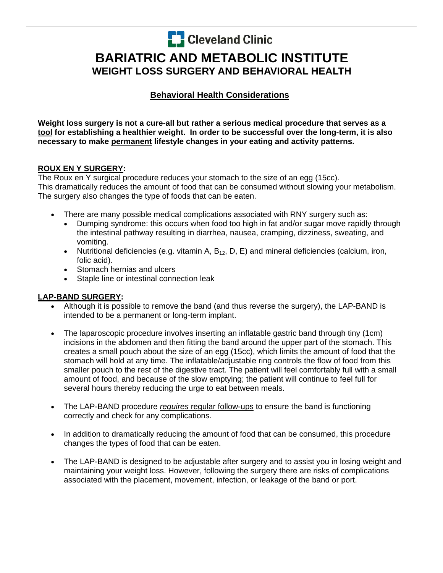**C** Cleveland Clinic

# **BARIATRIC AND METABOLIC INSTITUTE WEIGHT LOSS SURGERY AND BEHAVIORAL HEALTH**

### **Behavioral Health Considerations**

**Weight loss surgery is not a cure-all but rather a serious medical procedure that serves as a tool for establishing a healthier weight. In order to be successful over the long-term, it is also necessary to make permanent lifestyle changes in your eating and activity patterns.** 

#### **ROUX EN Y SURGERY:**

The Roux en Y surgical procedure reduces your stomach to the size of an egg (15cc). This dramatically reduces the amount of food that can be consumed without slowing your metabolism. The surgery also changes the type of foods that can be eaten.

- There are many possible medical complications associated with RNY surgery such as:
	- Dumping syndrome: this occurs when food too high in fat and/or sugar move rapidly through the intestinal pathway resulting in diarrhea, nausea, cramping, dizziness, sweating, and vomiting.
	- Nutritional deficiencies (e.g. vitamin A,  $B_{12}$ , D, E) and mineral deficiencies (calcium, iron, folic acid).
	- Stomach hernias and ulcers
	- Staple line or intestinal connection leak

#### **LAP-BAND SURGERY:**

- Although it is possible to remove the band (and thus reverse the surgery), the LAP-BAND is intended to be a permanent or long-term implant.
- The laparoscopic procedure involves inserting an inflatable gastric band through tiny (1cm) incisions in the abdomen and then fitting the band around the upper part of the stomach. This creates a small pouch about the size of an egg (15cc), which limits the amount of food that the stomach will hold at any time. The inflatable/adjustable ring controls the flow of food from this smaller pouch to the rest of the digestive tract. The patient will feel comfortably full with a small amount of food, and because of the slow emptying; the patient will continue to feel full for several hours thereby reducing the urge to eat between meals.
- The LAP-BAND procedure *requires* regular follow-ups to ensure the band is functioning correctly and check for any complications.
- In addition to dramatically reducing the amount of food that can be consumed, this procedure changes the types of food that can be eaten.
- The LAP-BAND is designed to be adjustable after surgery and to assist you in losing weight and maintaining your weight loss. However, following the surgery there are risks of complications associated with the placement, movement, infection, or leakage of the band or port.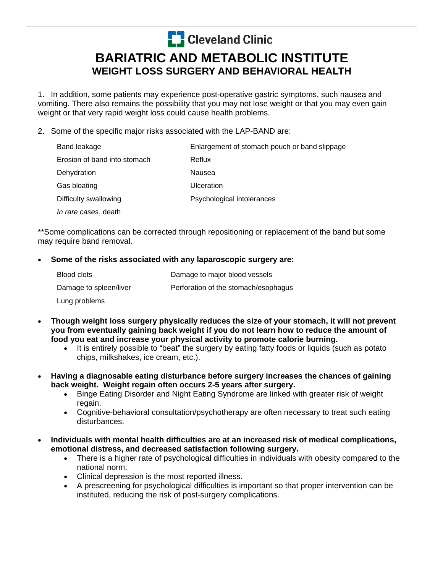**C** Cleveland Clinic

### **BARIATRIC AND METABOLIC INSTITUTE WEIGHT LOSS SURGERY AND BEHAVIORAL HEALTH**

1. In addition, some patients may experience post-operative gastric symptoms, such nausea and vomiting. There also remains the possibility that you may not lose weight or that you may even gain weight or that very rapid weight loss could cause health problems.

2. Some of the specific major risks associated with the LAP-BAND are:

| Band leakage                 | Enlargement of stomach pouch or band slippage |
|------------------------------|-----------------------------------------------|
| Erosion of band into stomach | Reflux                                        |
| Dehydration                  | Nausea                                        |
| Gas bloating                 | Ulceration                                    |
| Difficulty swallowing        | Psychological intolerances                    |
| <i>In rare cases</i> , death |                                               |

\*\*Some complications can be corrected through repositioning or replacement of the band but some may require band removal.

#### **Some of the risks associated with any laparoscopic surgery are:**

| Blood clots            | Damage to major blood vessels        |
|------------------------|--------------------------------------|
| Damage to spleen/liver | Perforation of the stomach/esophagus |
| Lung problems          |                                      |

- **Though weight loss surgery physically reduces the size of your stomach, it will not prevent you from eventually gaining back weight if you do not learn how to reduce the amount of food you eat and increase your physical activity to promote calorie burning.** 
	- It is entirely possible to "beat" the surgery by eating fatty foods or liquids (such as potato chips, milkshakes, ice cream, etc.).
- **Having a diagnosable eating disturbance before surgery increases the chances of gaining back weight. Weight regain often occurs 2-5 years after surgery.** 
	- Binge Eating Disorder and Night Eating Syndrome are linked with greater risk of weight regain.
	- Cognitive-behavioral consultation/psychotherapy are often necessary to treat such eating disturbances.
- **Individuals with mental health difficulties are at an increased risk of medical complications, emotional distress, and decreased satisfaction following surgery.** 
	- There is a higher rate of psychological difficulties in individuals with obesity compared to the national norm.
	- Clinical depression is the most reported illness.
	- A prescreening for psychological difficulties is important so that proper intervention can be instituted, reducing the risk of post-surgery complications.